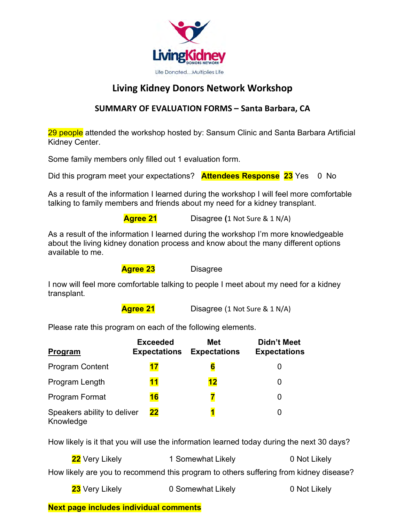

# **Living Kidney Donors Network Workshop**

### **SUMMARY OF EVALUATION FORMS – Santa Barbara, CA**

29 people attended the workshop hosted by: Sansum Clinic and Santa Barbara Artificial Kidney Center.

Some family members only filled out 1 evaluation form.

Did this program meet your expectations? **Attendees Response 23** Yes 0 No

As a result of the information I learned during the workshop I will feel more comfortable talking to family members and friends about my need for a kidney transplant.

 **Agree 21** Disagree **(**1 Not Sure & 1 N/A)

As a result of the information I learned during the workshop I'm more knowledgeable about the living kidney donation process and know about the many different options available to me.

**Agree 23** Disagree

I now will feel more comfortable talking to people I meet about my need for a kidney transplant.

**Agree 21** Disagree (1 Not Sure & 1 N/A)

Please rate this program on each of the following elements.

| Program                                  | <b>Exceeded</b><br><b>Expectations</b> | Met<br><b>Expectations</b> | Didn't Meet<br><b>Expectations</b> |
|------------------------------------------|----------------------------------------|----------------------------|------------------------------------|
| <b>Program Content</b>                   | 17                                     | 6                          |                                    |
| Program Length                           | <u><b>11</b></u>                       | 12                         |                                    |
| Program Format                           | <b>16</b>                              | 7                          | 0                                  |
| Speakers ability to deliver<br>Knowledge | 22                                     |                            |                                    |

How likely is it that you will use the information learned today during the next 30 days?

**22** Very Likely **1 Somewhat Likely 0 Not Likely** How likely are you to recommend this program to others suffering from kidney disease?

| 23 Very Likely | 0 Somewhat Likely | 0 Not Likely |
|----------------|-------------------|--------------|
|----------------|-------------------|--------------|

## **Next page includes individual comments**